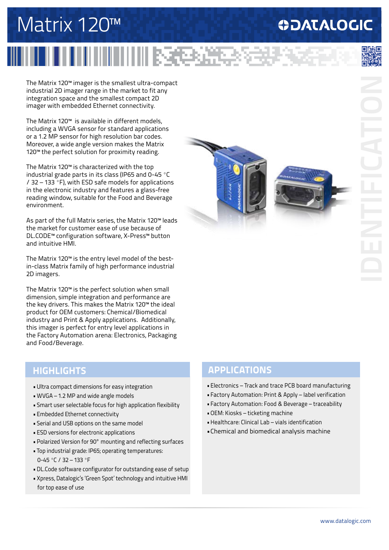## **ODATALOGIC**

# Matrix 120™

# 收包流

The Matrix 120™ imager is the smallest ultra-compact industrial 2D imager range in the market to fit any integration space and the smallest compact 2D imager with embedded Ethernet connectivity.

The Matrix 120™ is available in different models, including a WVGA sensor for standard applications or a 1.2 MP sensor for high resolution bar codes. Moreover, a wide angle version makes the Matrix 120<sup>™</sup> the perfect solution for proximity reading.

The Matrix 120™ is characterized with the top industrial grade parts in its class (IP65 and 0-45 ºC / 32 – 133 ºF), with ESD safe models for applications in the electronic industry and features a glass-free reading window, suitable for the Food and Beverage environment.

As part of the full Matrix series, the Matrix 120™ leads the market for customer ease of use because of DL.CODE™ configuration software, X-Press™ button and intuitive HMI.

The Matrix 120™ is the entry level model of the bestin-class Matrix family of high performance industrial 2D imagers.

The Matrix 120™ is the perfect solution when small dimension, simple integration and performance are the key drivers. This makes the Matrix 120™ the ideal product for OEM customers: Chemical/Biomedical industry and Print & Apply applications. Additionally, this imager is perfect for entry level applications in the Factory Automation arena: Electronics, Packaging and Food/Beverage.

- •Ultra compact dimensions for easy integration
- •WVGA 1.2 MP and wide angle models
- Smart user selectable focus for high application flexibility
- •Embedded Ethernet connectivity
- Serial and USB options on the same model
- •ESD versions for electronic applications
- •Polarized Version for 90° mounting and reflecting surfaces
- Top industrial grade: IP65; operating temperatures: 0-45 ºC / 32 – 133 ºF
- •DL.Code software configurator for outstanding ease of setup
- •Xpress, Datalogic's 'Green Spot' technology and intuitive HMI for top ease of use



#### **HIGHLIGHTS APPLICATIONS**

- •Electronics Track and trace PCB board manufacturing
- •Factory Automation: Print & Apply label verification
- •Factory Automation: Food & Beverage traceability
- •OEM: Kiosks ticketing machine
- •Healthcare: Clinical Lab vials identification
- •Chemical and biomedical analysis machine